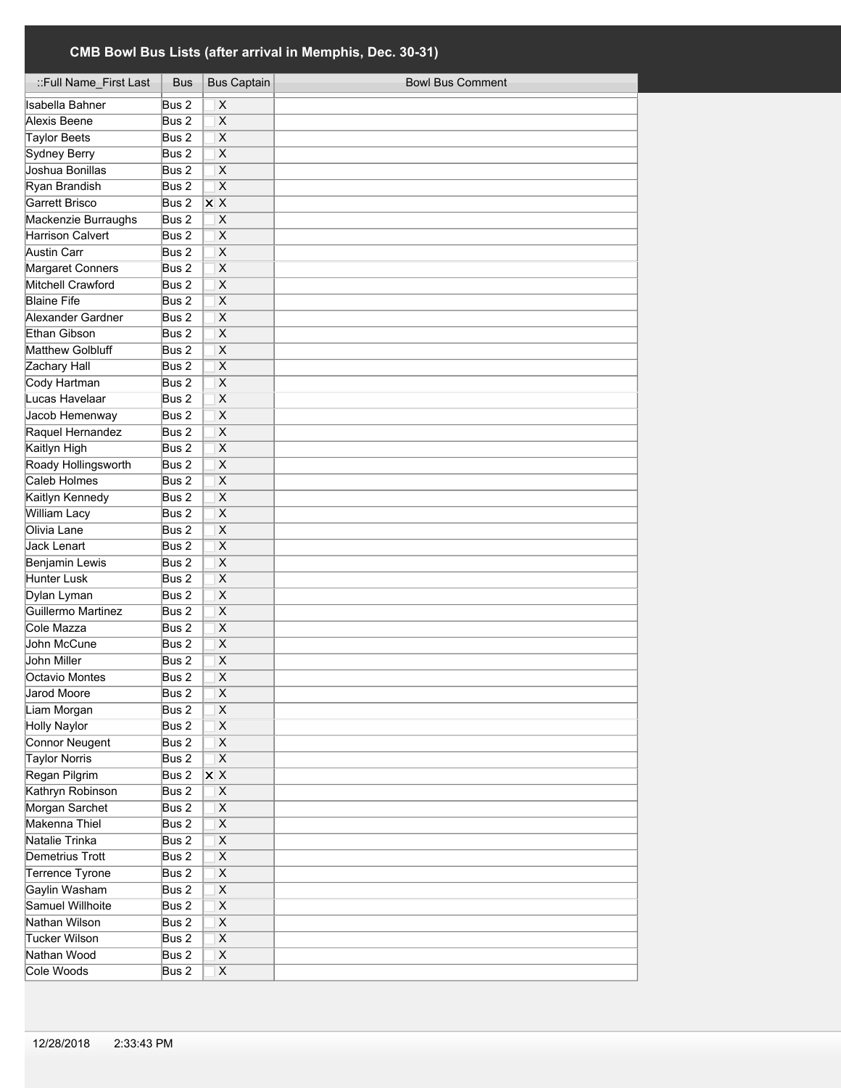| ::Full Name_First Last | Bus   | <b>Bus Captain</b>      | <b>Bowl Bus Comment</b> |
|------------------------|-------|-------------------------|-------------------------|
| Isabella Bahner        | Bus 2 | X                       |                         |
| Alexis Beene           | Bus 2 | $\overline{\mathsf{x}}$ |                         |
| <b>Taylor Beets</b>    | Bus 2 | $\overline{\mathsf{x}}$ |                         |
| <b>Sydney Berry</b>    | Bus 2 | $\overline{\mathsf{x}}$ |                         |
| Joshua Bonillas        | Bus 2 | $\overline{\mathsf{x}}$ |                         |
| Ryan Brandish          | Bus 2 | $\overline{\mathsf{x}}$ |                         |
| Garrett Brisco         | Bus 2 | $\overline{X}$ X        |                         |
| Mackenzie Burraughs    | Bus 2 | $\overline{\mathsf{x}}$ |                         |
| Harrison Calvert       | Bus 2 | $\overline{\mathsf{x}}$ |                         |
| <b>Austin Carr</b>     | Bus 2 | $\overline{\mathsf{x}}$ |                         |
| Margaret Conners       | Bus 2 | $\overline{\mathsf{x}}$ |                         |
| Mitchell Crawford      | Bus 2 | $\mathsf{x}$            |                         |
| <b>Blaine Fife</b>     | Bus 2 | $\overline{\mathsf{x}}$ |                         |
| Alexander Gardner      | Bus 2 | X                       |                         |
| Ethan Gibson           | Bus 2 | X                       |                         |
| Matthew Golbluff       | Bus 2 | X                       |                         |
| Zachary Hall           | Bus 2 | X                       |                         |
| Cody Hartman           | Bus 2 | X                       |                         |
| Lucas Havelaar         | Bus 2 | X                       |                         |
| Jacob Hemenway         | Bus 2 | X                       |                         |
| Raquel Hernandez       | Bus 2 | X                       |                         |
| Kaitlyn High           | Bus 2 | X                       |                         |
| Roady Hollingsworth    | Bus 2 | X                       |                         |
| <b>Caleb Holmes</b>    | Bus 2 | $\overline{\mathsf{x}}$ |                         |
| Kaitlyn Kennedy        | Bus 2 | $\overline{\mathsf{x}}$ |                         |
| <b>William Lacy</b>    | Bus 2 | $\overline{\mathsf{x}}$ |                         |
| Olivia Lane            | Bus 2 | X                       |                         |
| Jack Lenart            | Bus 2 | $\overline{\mathsf{x}}$ |                         |
| <b>Benjamin Lewis</b>  | Bus 2 | X                       |                         |
| Hunter Lusk            | Bus 2 | X                       |                         |
| Dylan Lyman            | Bus 2 | X                       |                         |
| Guillermo Martinez     | Bus 2 | X                       |                         |
| Cole Mazza             | Bus 2 | X                       |                         |
| John McCune            | Bus 2 | X                       |                         |
| John Miller            | Bus 2 | X                       |                         |
| Octavio Montes         | Bus 2 | X                       |                         |
| Jarod Moore            | Bus 2 | X                       |                         |
| Liam Morgan            | Bus 2 | $\pmb{\mathsf{X}}$      |                         |
| <b>Holly Naylor</b>    | Bus 2 | X                       |                         |
| Connor Neugent         | Bus 2 | $\overline{\mathsf{x}}$ |                         |
| <b>Taylor Norris</b>   | Bus 2 | $\overline{\mathsf{x}}$ |                         |
| Regan Pilgrim          | Bus 2 | <b>x</b> X              |                         |
| Kathryn Robinson       | Bus 2 | X                       |                         |
| Morgan Sarchet         | Bus 2 | X                       |                         |
| Makenna Thiel          | Bus 2 | $\overline{\mathsf{X}}$ |                         |
| Natalie Trinka         | Bus 2 | X                       |                         |
| Demetrius Trott        | Bus 2 | $\overline{\mathsf{x}}$ |                         |
| <b>Terrence Tyrone</b> | Bus 2 | $\overline{\mathsf{x}}$ |                         |
| Gaylin Washam          | Bus 2 | $\overline{\mathsf{X}}$ |                         |
| Samuel Willhoite       | Bus 2 | $\overline{\mathsf{x}}$ |                         |
| Nathan Wilson          | Bus 2 | $\overline{\mathsf{X}}$ |                         |
| Tucker Wilson          | Bus 2 | $\overline{\mathsf{X}}$ |                         |
| Nathan Wood            | Bus 2 | $\overline{\mathsf{x}}$ |                         |
| Cole Woods             | Bus 2 | $\overline{\mathsf{x}}$ |                         |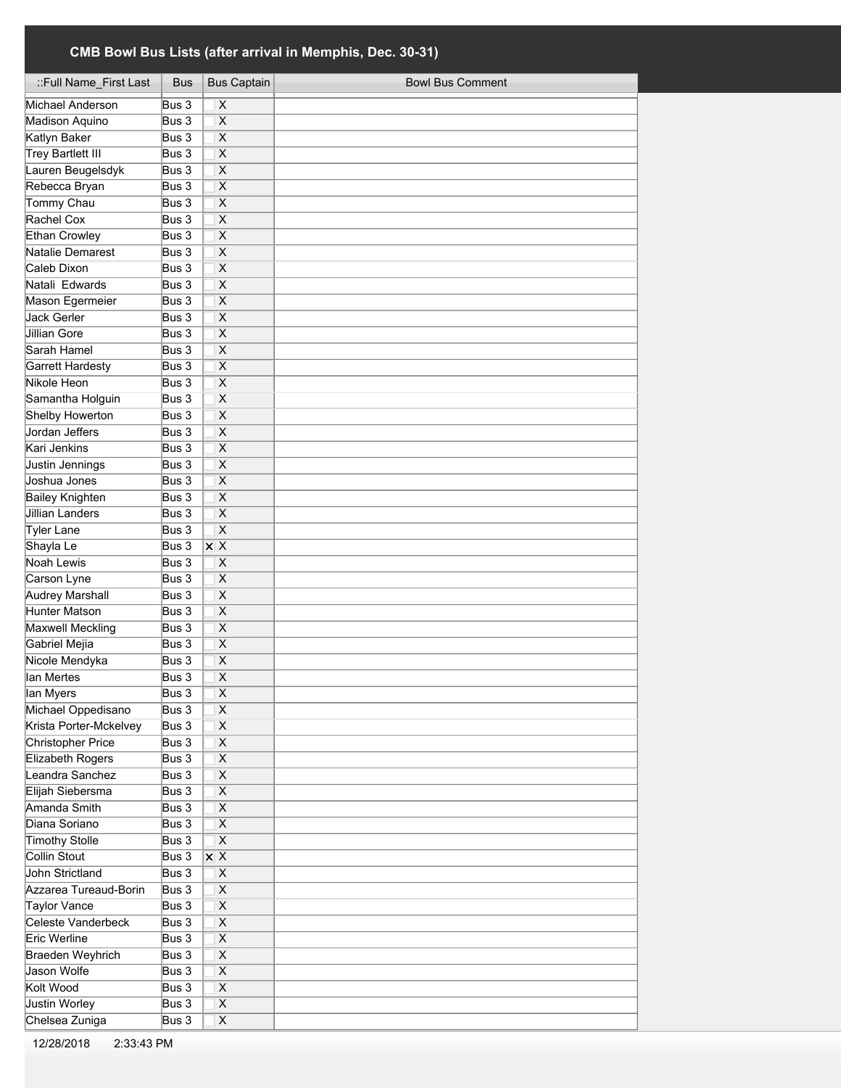| ::Full Name_First Last    | Bus                 | <b>Bus Captain</b>                  | <b>Bowl Bus Comment</b> |
|---------------------------|---------------------|-------------------------------------|-------------------------|
| Michael Anderson          | $\overline{Bus}$ 3  | X                                   |                         |
| Madison Aquino            | Bus 3               | X                                   |                         |
| Katlyn Baker              | Bus 3               | X                                   |                         |
| <b>Trey Bartlett III</b>  | Bus 3               | X                                   |                         |
| Lauren Beugelsdyk         | Bus 3               | $\overline{\mathsf{x}}$             |                         |
| Rebecca Bryan             | Bus 3               | X                                   |                         |
| <b>Tommy Chau</b>         | Bus 3               | X                                   |                         |
| Rachel Cox                | Bus 3               | $\overline{\mathsf{x}}$             |                         |
| <b>Ethan Crowley</b>      | Bus 3               | $\overline{\mathsf{x}}$             |                         |
| Natalie Demarest          | Bus 3               | $\overline{\mathsf{x}}$             |                         |
| Caleb Dixon               | Bus 3               | $\overline{\mathsf{x}}$             |                         |
| Natali Edwards            | Bus 3               | $\mathsf{x}$                        |                         |
| Mason Egermeier           | Bus 3               | $\overline{\mathsf{x}}$             |                         |
| Jack Gerler               | Bus 3               | X                                   |                         |
| Jillian Gore              | Bus 3               | X                                   |                         |
| Sarah Hamel               | Bus 3               | X                                   |                         |
| <b>Garrett Hardesty</b>   | Bus 3               | X                                   |                         |
| Nikole Heon               | Bus 3               | X                                   |                         |
| Samantha Holguin          | Bus 3               | X                                   |                         |
| Shelby Howerton           | Bus 3               | X                                   |                         |
| Jordan Jeffers            | Bus 3               | X                                   |                         |
| Kari Jenkins              | Bus 3               | X                                   |                         |
| Justin Jennings           | Bus 3               | $\overline{\mathsf{x}}$             |                         |
| Joshua Jones              | Bus 3               | $\overline{\mathsf{x}}$             |                         |
| <b>Bailey Knighten</b>    | Bus 3               | $\overline{\mathsf{x}}$             |                         |
| <b>Jillian Landers</b>    | Bus 3               | $\overline{\mathsf{x}}$             |                         |
| <b>Tyler Lane</b>         | Bus 3               | $\overline{\mathsf{x}}$             |                         |
| Shayla Le                 | Bus 3               | $\times$ X                          |                         |
| <b>Noah Lewis</b>         | Bus 3               | X                                   |                         |
| Carson Lyne               | Bus 3               | X                                   |                         |
| Audrey Marshall           | Bus 3               | X                                   |                         |
| Hunter Matson             | Bus 3               | X                                   |                         |
| <b>Maxwell Meckling</b>   | Bus 3               | X                                   |                         |
| Gabriel Mejia             | Bus 3               | X                                   |                         |
| Nicole Mendyka            | Bus 3               | $\overline{\mathsf{x}}$             |                         |
| lan Mertes                | Bus 3               | $\overline{\mathsf{x}}$             |                         |
| lan Myers                 | Bus 3               | $\overline{\mathsf{x}}$             |                         |
| Michael Oppedisano        | Bus 3               | X                                   |                         |
| Krista Porter-Mckelvey    | Bus 3               | $\overline{X}$                      |                         |
| <b>Christopher Price</b>  | Bus 3               | $\overline{\mathsf{x}}$             |                         |
| <b>Elizabeth Rogers</b>   | Bus 3               | $\overline{\mathsf{x}}$             |                         |
| Leandra Sanchez           | Bus 3               | $\overline{X}$                      |                         |
| Elijah Siebersma          | Bus 3               | $\overline{\mathsf{x}}$             |                         |
| Amanda Smith              | Bus 3               | $\overline{\mathsf{x}}$             |                         |
| Diana Soriano             | Bus 3               | $\overline{\mathsf{x}}$             |                         |
| Timothy Stolle            | Bus 3               | $\overline{\mathsf{x}}$             |                         |
| Collin Stout              | Bus 3               | $\overline{\mathsf{x}\ \mathsf{x}}$ |                         |
| <b>John Strictland</b>    | Bus 3               | $\overline{\mathsf{x}}$             |                         |
| Azzarea Tureaud-Borin     | Bus 3               | $\overline{\mathsf{x}}$             |                         |
| <b>Taylor Vance</b>       | Bus 3               | $\overline{X}$                      |                         |
| <b>Celeste Vanderbeck</b> | Bus 3               | $\overline{\mathsf{x}}$             |                         |
| Eric Werline              | $\overline{B}$ us 3 | $\overline{\mathsf{x}}$             |                         |
| Braeden Weyhrich          | Bus 3               | $\overline{\mathsf{x}}$             |                         |
| Jason Wolfe               | Bus 3               | $\overline{\mathsf{x}}$             |                         |
| Kolt Wood                 | Bus 3               | $\overline{\mathsf{x}}$             |                         |
| <b>Justin Worley</b>      | Bus 3               | $\overline{\mathsf{x}}$             |                         |
| Chelsea Zuniga            | Bus 3               | $\mathsf X$                         |                         |
|                           |                     |                                     |                         |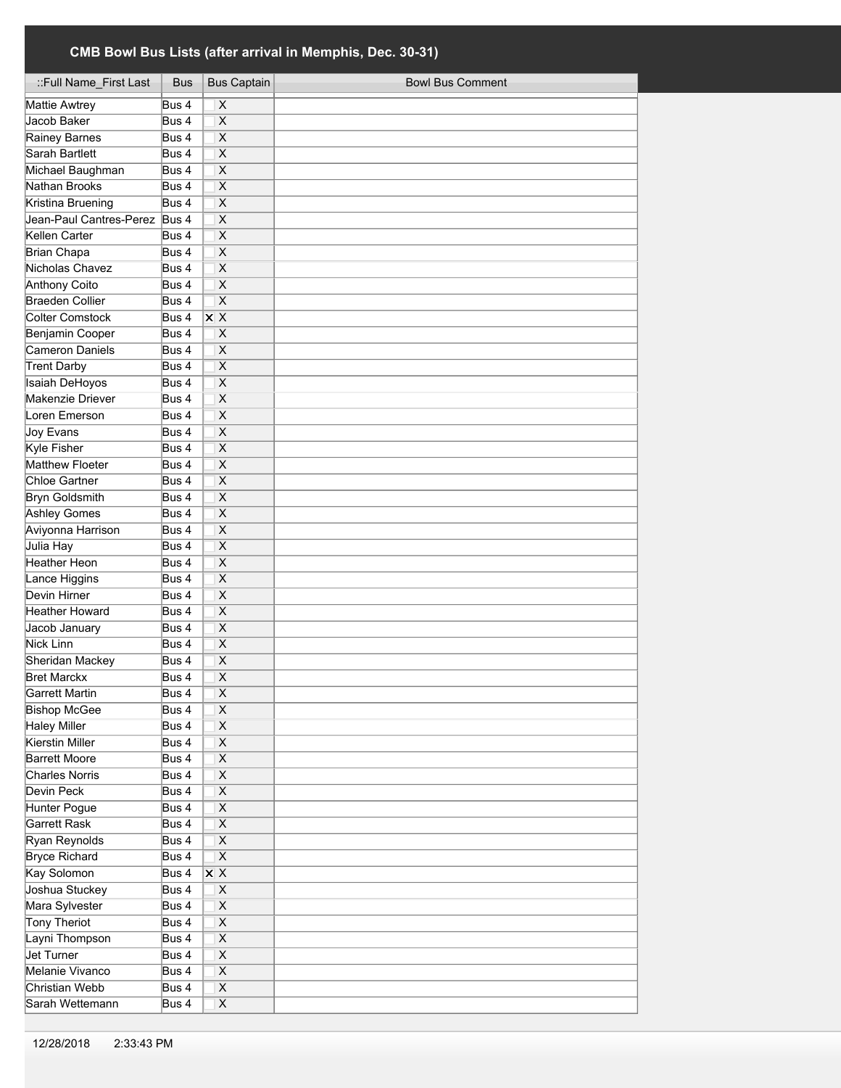| ::Full Name_First Last        | Bus              | <b>Bus Captain</b>        | <b>Bowl Bus Comment</b> |
|-------------------------------|------------------|---------------------------|-------------------------|
| Mattie Awtrey                 | Bus 4            | $\pmb{\times}$            |                         |
| Jacob Baker                   | Bus 4            | X                         |                         |
| Rainey Barnes                 | Bus 4            | X                         |                         |
| Sarah Bartlett                | Bus 4            | X                         |                         |
| Michael Baughman              | Bus 4            | X                         |                         |
| Nathan Brooks                 | Bus 4            | X                         |                         |
| Kristina Bruening             | Bus 4            | X                         |                         |
| Jean-Paul Cantres-Perez Bus 4 |                  | Χ                         |                         |
| Kellen Carter                 | Bus <sub>4</sub> | $\overline{\mathsf{x}}$   |                         |
| Brian Chapa                   | Bus 4            | X                         |                         |
| Nicholas Chavez               | Bus 4            | X                         |                         |
| Anthony Coito                 | Bus 4            | X                         |                         |
| <b>Braeden Collier</b>        | Bus 4            | $\overline{\mathsf{x}}$   |                         |
| <b>Colter Comstock</b>        | Bus 4            | $\overline{X}$ X          |                         |
| Benjamin Cooper               | Bus 4            | X                         |                         |
| Cameron Daniels               | Bus 4            | X                         |                         |
| <b>Trent Darby</b>            | Bus 4            | $\overline{\mathsf{x}}$   |                         |
| <b>Isaiah DeHoyos</b>         | Bus 4            | X                         |                         |
| Makenzie Driever              | Bus 4            | X                         |                         |
| Loren Emerson                 | Bus 4            | X                         |                         |
| <b>Joy Evans</b>              | Bus 4            | X                         |                         |
| <b>Kyle Fisher</b>            | Bus 4            | X                         |                         |
| Matthew Floeter               | Bus 4            | X                         |                         |
| Chloe Gartner                 | Bus 4            | X                         |                         |
| <b>Bryn Goldsmith</b>         | Bus 4            | X                         |                         |
| <b>Ashley Gomes</b>           | Bus 4            | $\pmb{\times}$            |                         |
| Aviyonna Harrison             | Bus 4            | $\overline{\mathsf{x}}$   |                         |
| Julia Hay                     | Bus 4            | $\overline{\mathsf{x}}$   |                         |
| <b>Heather Heon</b>           | Bus 4            | $\overline{\mathsf{x}}$   |                         |
| Lance Higgins                 | Bus 4            | X                         |                         |
| Devin Hirner                  | Bus 4            | X                         |                         |
| Heather Howard                | Bus 4            | X                         |                         |
| Jacob January                 | Bus 4            | X                         |                         |
| Nick Linn                     | Bus 4            | X                         |                         |
| Sheridan Mackey               | Bus 4            | Χ                         |                         |
| <b>Bret Marckx</b>            | Bus 4            | $\overline{\mathsf{x}}$   |                         |
| Garrett Martin                | Bus 4            | х                         |                         |
| <b>Bishop McGee</b>           | Bus 4            | X                         |                         |
| <b>Haley Miller</b>           | Bus 4            | $\overline{\mathsf{x}}$   |                         |
| Kierstin Miller               | Bus 4            | $\overline{\mathsf{X}}$   |                         |
| <b>Barrett Moore</b>          | Bus 4            | $\overline{\mathsf{x}}$   |                         |
| <b>Charles Norris</b>         | Bus 4            | $\overline{\mathsf{x}}$   |                         |
| Devin Peck                    | Bus 4            | $\overline{\mathsf{x}}$   |                         |
| Hunter Pogue                  | Bus 4            | $\overline{\mathsf{x}}$   |                         |
| Garrett Rask                  | Bus 4            | $\overline{\mathsf{x}}$   |                         |
| Ryan Reynolds                 | Bus 4            | $\overline{X}$            |                         |
| <b>Bryce Richard</b>          | Bus 4            | $\overline{\mathsf{x}}$   |                         |
| Kay Solomon                   | Bus 4            | $\overline{\mathsf{x}}$ X |                         |
| Joshua Stuckey                | Bus 4            | $\overline{\mathsf{X}}$   |                         |
| Mara Sylvester                | Bus 4            | $\overline{\mathsf{x}}$   |                         |
| <b>Tony Theriot</b>           | Bus 4            | $\overline{\mathsf{x}}$   |                         |
| Layni Thompson                | Bus 4            | $\overline{\mathsf{x}}$   |                         |
| Jet Turner                    | Bus 4            | $\overline{\mathsf{x}}$   |                         |
| Melanie Vivanco               | Bus 4            | $\overline{\mathsf{x}}$   |                         |
| Christian Webb                | Bus 4            | $\overline{X}$            |                         |
| Sarah Wettemann               | Bus 4            | $\overline{\mathsf{x}}$   |                         |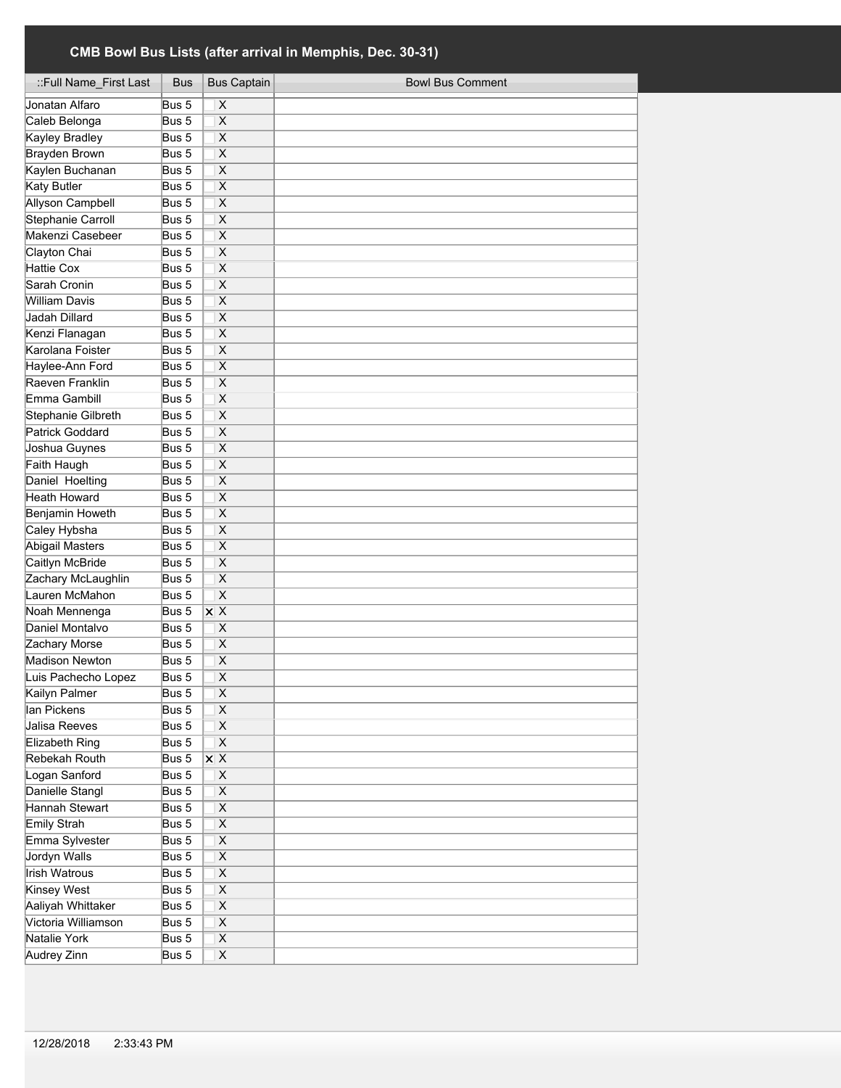| ::Full Name_First Last   | Bus   | <b>Bus Captain</b>      | <b>Bowl Bus Comment</b> |
|--------------------------|-------|-------------------------|-------------------------|
| Jonatan Alfaro           | Bus 5 | X                       |                         |
| Caleb Belonga            | Bus 5 | $\overline{\mathsf{x}}$ |                         |
| <b>Kayley Bradley</b>    | Bus 5 | $\overline{\mathsf{x}}$ |                         |
| <b>Brayden Brown</b>     | Bus 5 | $\overline{\mathsf{x}}$ |                         |
| Kaylen Buchanan          | Bus 5 | $\overline{\mathsf{x}}$ |                         |
| <b>Katy Butler</b>       | Bus 5 | $\overline{\mathsf{x}}$ |                         |
| <b>Allyson Campbell</b>  | Bus 5 | $\overline{\mathsf{x}}$ |                         |
| <b>Stephanie Carroll</b> | Bus 5 | $\overline{\mathsf{x}}$ |                         |
| Makenzi Casebeer         | Bus 5 | $\overline{\mathsf{x}}$ |                         |
| Clayton Chai             | Bus 5 | $\overline{\mathsf{x}}$ |                         |
| <b>Hattie Cox</b>        | Bus 5 | $\overline{\mathsf{x}}$ |                         |
| Sarah Cronin             | Bus 5 | X                       |                         |
| <b>William Davis</b>     | Bus 5 | $\overline{\mathsf{x}}$ |                         |
| Jadah Dillard            | Bus 5 | X                       |                         |
| Kenzi Flanagan           | Bus 5 | X                       |                         |
| Karolana Foister         | Bus 5 | X                       |                         |
| Haylee-Ann Ford          | Bus 5 | Χ                       |                         |
| Raeven Franklin          | Bus 5 | Χ                       |                         |
| Emma Gambill             | Bus 5 | X                       |                         |
| Stephanie Gilbreth       | Bus 5 | X                       |                         |
| Patrick Goddard          | Bus 5 | X                       |                         |
|                          |       |                         |                         |
| Joshua Guynes            | Bus 5 | X                       |                         |
| Faith Haugh              | Bus 5 | X                       |                         |
| Daniel Hoelting          | Bus 5 | $\overline{\mathsf{x}}$ |                         |
| Heath Howard             | Bus 5 | $\overline{\mathsf{x}}$ |                         |
| Benjamin Howeth          | Bus 5 | $\overline{\mathsf{x}}$ |                         |
| Caley Hybsha             | Bus 5 | X                       |                         |
| <b>Abigail Masters</b>   | Bus 5 | $\overline{\mathsf{x}}$ |                         |
| Caitlyn McBride          | Bus 5 | $\overline{\mathsf{x}}$ |                         |
| Zachary McLaughlin       | Bus 5 | $\overline{\mathsf{X}}$ |                         |
| Lauren McMahon           | Bus 5 | X                       |                         |
| Noah Mennenga            | Bus 5 | $X$ X                   |                         |
| Daniel Montalvo          | Bus 5 | X                       |                         |
| Zachary Morse            | Bus 5 | X                       |                         |
| <b>Madison Newton</b>    | Bus 5 | Χ                       |                         |
| Luis Pachecho Lopez      | Bus 5 | X                       |                         |
| Kailyn Palmer            | Bus 5 | X                       |                         |
| lan Pickens              | Bus 5 | X                       |                         |
| Jalisa Reeves            | Bus 5 | Χ                       |                         |
| Elizabeth Ring           | Bus 5 | $\overline{\mathsf{x}}$ |                         |
| Rebekah Routh            | Bus 5 | <b>x</b> X              |                         |
| Logan Sanford            | Bus 5 | Χ                       |                         |
| Danielle Stangl          | Bus 5 | X                       |                         |
| Hannah Stewart           | Bus 5 | X                       |                         |
| <b>Emily Strah</b>       | Bus 5 | $\overline{\mathsf{X}}$ |                         |
| Emma Sylvester           | Bus 5 | X                       |                         |
| Jordyn Walls             | Bus 5 | $\overline{\mathsf{x}}$ |                         |
| Irish Watrous            | Bus 5 | $\overline{\mathsf{x}}$ |                         |
| <b>Kinsey West</b>       | Bus 5 | $\overline{\mathsf{X}}$ |                         |
| Aaliyah Whittaker        | Bus 5 | $\overline{\mathsf{x}}$ |                         |
| Victoria Williamson      | Bus 5 | $\overline{\mathsf{X}}$ |                         |
| Natalie York             | Bus 5 | $\overline{\mathsf{X}}$ |                         |
| <b>Audrey Zinn</b>       | Bus 5 | $\overline{\mathsf{x}}$ |                         |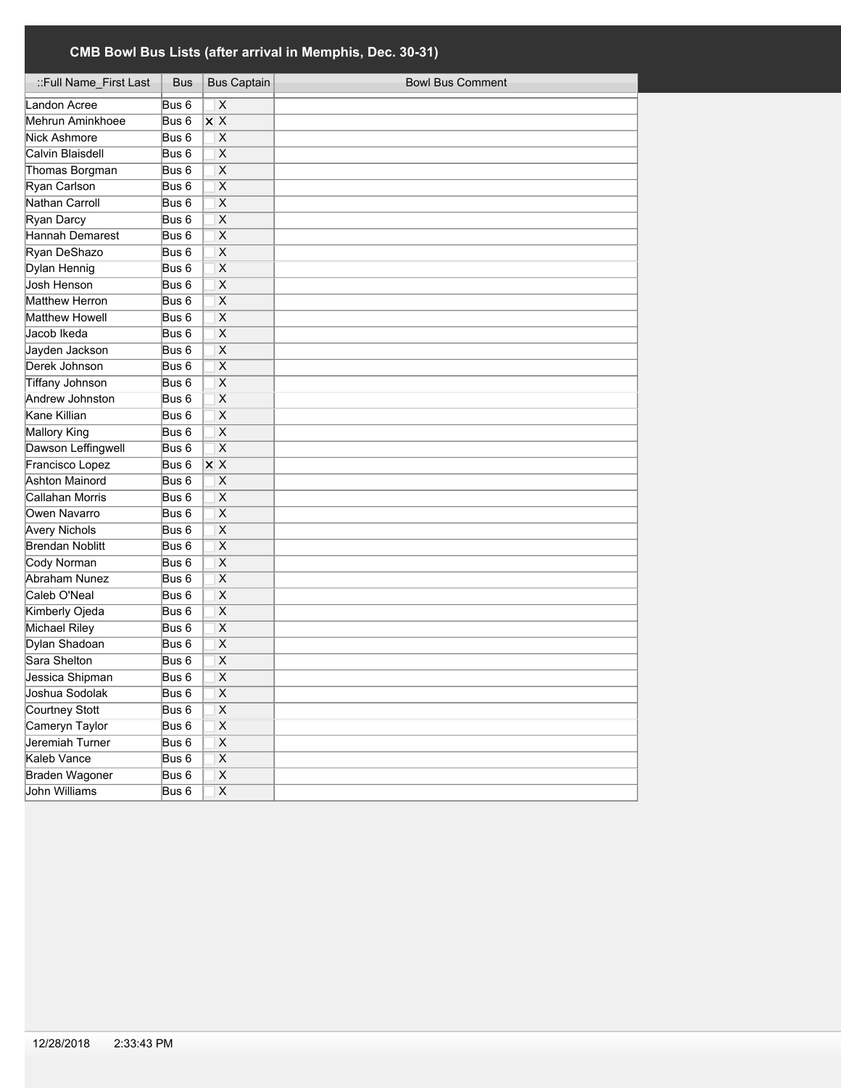| ::Full Name_First Last | Bus              | <b>Bus Captain</b>      | <b>Bowl Bus Comment</b> |
|------------------------|------------------|-------------------------|-------------------------|
| Landon Acree           | Bus 6            | $\overline{\mathsf{x}}$ |                         |
| Mehrun Aminkhoee       | Bus 6            | X X                     |                         |
| Nick Ashmore           | Bus 6            | X                       |                         |
| Calvin Blaisdell       | Bus <sub>6</sub> | $\overline{\mathsf{x}}$ |                         |
| Thomas Borgman         | Bus <sub>6</sub> | $\overline{\mathsf{x}}$ |                         |
| Ryan Carlson           | Bus <sub>6</sub> | $\overline{\mathsf{x}}$ |                         |
| Nathan Carroll         | Bus <sub>6</sub> | $\overline{\mathsf{x}}$ |                         |
| Ryan Darcy             | Bus <sub>6</sub> | $\overline{\mathsf{x}}$ |                         |
| Hannah Demarest        | Bus <sub>6</sub> | $\overline{\mathsf{x}}$ |                         |
| Ryan DeShazo           | Bus <sub>6</sub> | X                       |                         |
| Dylan Hennig           | Bus 6            | X                       |                         |
| Josh Henson            | Bus <sub>6</sub> | X                       |                         |
| Matthew Herron         | Bus <sub>6</sub> | Χ                       |                         |
| Matthew Howell         | Bus <sub>6</sub> | X                       |                         |
| Jacob Ikeda            | Bus <sub>6</sub> | Χ                       |                         |
| Jayden Jackson         | Bus <sub>6</sub> | Χ                       |                         |
| Derek Johnson          | Bus <sub>6</sub> | X                       |                         |
| <b>Tiffany Johnson</b> | Bus 6            | X                       |                         |
| Andrew Johnston        | Bus 6            | X                       |                         |
| Kane Killian           | Bus 6            | X                       |                         |
| Mallory King           | Bus 6            | $\overline{\mathsf{x}}$ |                         |
| Dawson Leffingwell     | Bus 6            | $\overline{\mathsf{x}}$ |                         |
| Francisco Lopez        | Bus 6            | X X                     |                         |
| <b>Ashton Mainord</b>  | Bus 6            | X                       |                         |
| Callahan Morris        | Bus 6            | X                       |                         |
| Owen Navarro           | Bus 6            | X                       |                         |
| <b>Avery Nichols</b>   | Bus 6            | X                       |                         |
| Brendan Noblitt        | Bus 6            | X                       |                         |
| Cody Norman            | Bus 6            | $\overline{\mathsf{x}}$ |                         |
| Abraham Nunez          | Bus 6            | X                       |                         |
| Caleb O'Neal           | Bus 6            | X                       |                         |
| Kimberly Ojeda         | Bus 6            | X                       |                         |
| <b>Michael Riley</b>   | Bus 6            | $\pmb{\times}$          |                         |
| Dylan Shadoan          | Bus 6            | $\overline{\mathsf{x}}$ |                         |
| Sara Shelton           | Bus 6            | $\overline{\mathsf{x}}$ |                         |
| Jessica Shipman        | Bus 6            | $\overline{\mathsf{x}}$ |                         |
| Joshua Sodolak         | Bus 6            | X                       |                         |
| Courtney Stott         | Bus 6            | $\pmb{\times}$          |                         |
| Cameryn Taylor         | Bus 6            | $\overline{\mathsf{x}}$ |                         |
| Jeremiah Turner        | Bus 6            | $\overline{\mathsf{X}}$ |                         |
| Kaleb Vance            | Bus 6            | $\overline{\mathsf{X}}$ |                         |
| Braden Wagoner         | Bus 6            | Χ                       |                         |
| John Williams          | Bus 6            | $\overline{\mathsf{x}}$ |                         |